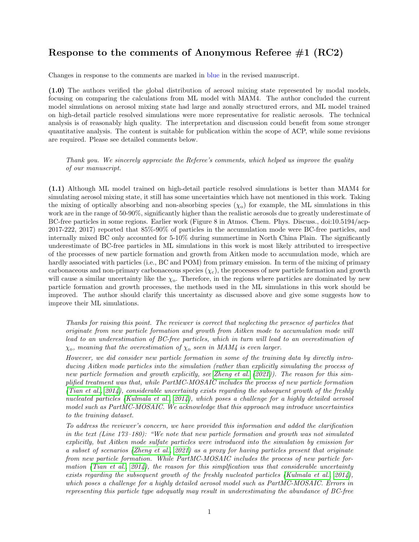## Response to the comments of Anonymous Referee  $#1$  (RC2)

Changes in response to the comments are marked in blue in the revised manuscript.

(1.0) The authors verified the global distribution of aerosol mixing state represented by modal models, focusing on comparing the calculations from ML model with MAM4. The author concluded the current model simulations on aerosol mixing state had large and zonally structured errors, and ML model trained on high-detail particle resolved simulations were more representative for realistic aerosols. The technical analysis is of reasonably high quality. The interpretation and discussion could benefit from some stronger quantitative analysis. The content is suitable for publication within the scope of ACP, while some revisions are required. Please see detailed comments below.

Thank you. We sincerely appreciate the Referee's comments, which helped us improve the quality of our manuscript.

(1.1) Although ML model trained on high-detail particle resolved simulations is better than MAM4 for simulating aerosol mixing state, it still has some uncertainties which have not mentioned in this work. Taking the mixing of optically absorbing and non-absorbing species  $(\chi_o)$  for example, the ML simulations in this work are in the range of 50-90%, significantly higher than the realistic aerosols due to greatly underestimate of BC-free particles in some regions. Earlier work (Figure 8 in Atmos. Chem. Phys. Discuss., doi:10.5194/acp-2017-222, 2017) reported that 85%-90% of particles in the accumulation mode were BC-free particles, and internally mixed BC only accounted for 5-10% during summertime in North China Plain. The significantly underestimate of BC-free particles in ML simulations in this work is most likely attributed to irrespective of the processes of new particle formation and growth from Aitken mode to accumulation mode, which are hardly associated with particles (i.e., BC and POM) from primary emission. In term of the mixing of primary carbonaceous and non-primary carbonaceous species  $(\chi_c)$ , the processes of new particle formation and growth will cause a similar uncertainty like the  $\chi_{o}$ . Therefore, in the regions where particles are dominated by new particle formation and growth processes, the methods used in the ML simulations in this work should be improved. The author should clarify this uncertainty as discussed above and give some suggests how to improve their ML simulations.

Thanks for raising this point. The reviewer is correct that neglecting the presence of particles that originate from new particle formation and growth from Aitken mode to accumulation mode will lead to an underestimation of BC-free particles, which in turn will lead to an overestimation of  $\chi_{\rm o}$ , meaning that the overestimation of  $\chi_{\rm o}$  seen in MAM4 is even larger.

However, we did consider new particle formation in some of the training data by directly introducing Aitken mode particles into the simulation (rather than explicitly simulating the process of new particle formation and growth explicitly, see [Zheng et al.](#page-9-0) [\(2021\)](#page-9-0)). The reason for this simplified treatment was that, while PartMC-MOSAIC includes the process of new particle formation [\(Tian et al., 2014\)](#page-9-1), considerable uncertainty exists regarding the subsequent growth of the freshly nucleated particles [\(Kulmala et al., 2014\)](#page-9-2), which poses a challenge for a highly detailed aerosol model such as PartMC-MOSAIC. We acknowledge that this approach may introduce uncertainties to the training dataset.

To address the reviewer's concern, we have provided this information and added the clarification in the text (Line 173–180): "We note that new particle formation and growth was not simulated explicitly, but Aitken mode sulfate particles were introduced into the simulation by emission for a subset of scenarios [\(Zheng et al., 2021\)](#page-9-0) as a proxy for having particles present that originate from new particle formation. While PartMC-MOSAIC includes the process of new particle for-mation [\(Tian et al., 2014\)](#page-9-1), the reason for this simplication was that considerable uncertainty exists regarding the subsequent growth of the freshly nucleated particles [\(Kulmala et al., 2014\)](#page-9-2), which poses a challenge for a highly detailed aerosol model such as PartMC-MOSAIC. Errors in representing this particle type adequatly may result in underestimating the abundance of BC-free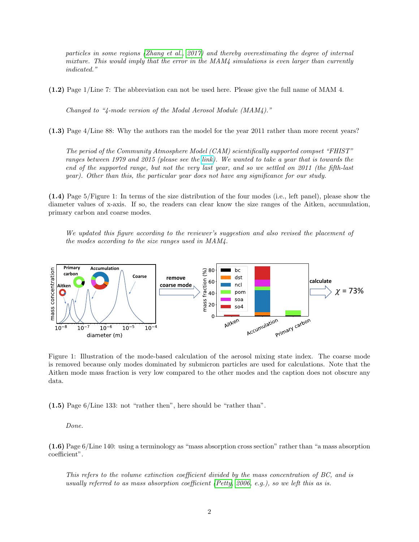particles in some regions [\(Zhang et al., 2017\)](#page-9-3) and thereby overestimating the degree of internal mixture. This would imply that the error in the  $MAM4$  simulations is even larger than currently indicated."

(1.2) Page 1/Line 7: The abbreviation can not be used here. Please give the full name of MAM 4.

Changed to "4-mode version of the Modal Aerosol Module (MAM4)."

(1.3) Page 4/Line 88: Why the authors ran the model for the year 2011 rather than more recent years?

The period of the Community Atmosphere Model (CAM) scientifically supported compset "FHIST" ranges between 1979 and 2015 (please see the [link\)](https://ncar.github.io/CAM/doc/build/html/users_guide/atmospheric-configurations.html). We wanted to take a year that is towards the end of the supported range, but not the very last year, and so we settled on 2011 (the fifth-last year). Other than this, the particular year does not have any significance for our study.

(1.4) Page 5/Figure 1: In terms of the size distribution of the four modes (i.e., left panel), please show the diameter values of x-axis. If so, the readers can clear know the size ranges of the Aitken, accumulation, primary carbon and coarse modes.

We updated this figure according to the reviewer's suggestion and also revised the placement of the modes according to the size ranges used in MAM4.



Figure 1: Illustration of the mode-based calculation of the aerosol mixing state index. The coarse mode is removed because only modes dominated by submicron particles are used for calculations. Note that the Aitken mode mass fraction is very low compared to the other modes and the caption does not obscure any data.

(1.5) Page 6/Line 133: not "rather then", here should be "rather than".

Done.

(1.6) Page 6/Line 140: using a terminology as "mass absorption cross section" rather than "a mass absorption coefficient".

This refers to the volume extinction coefficient divided by the mass concentration of BC, and is usually referred to as mass absorption coefficient [\(Petty, 2006,](#page-9-4) e.g.), so we left this as is.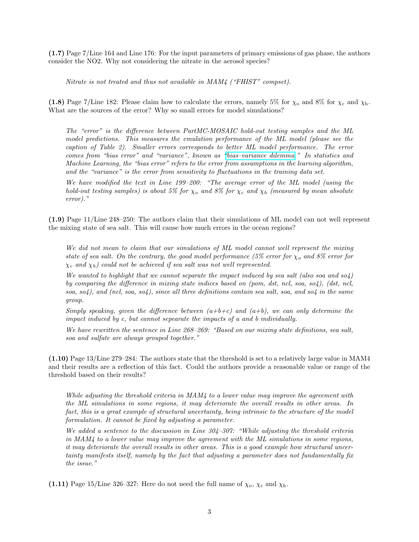(1.7) Page 7/Line 164 and Line 176: For the input parameters of primary emissions of gas phase, the authors consider the NO2. Why not considering the nitrate in the aerosol species?

Nitrate is not treated and thus not available in MAM4 ("FHIST" compset).

(1.8) Page 7/Line 182: Please claim how to calculate the errors, namely 5% for  $\chi_0$  and 8% for  $\chi_c$  and  $\chi_h$ . What are the sources of the error? Why so small errors for model simulations?

The "error" is the difference between PartMC-MOSAIC hold-out testing samples and the ML model predictions. This measures the emulation performance of the ML model (please see the caption of Table 2). Smaller errors corresponds to better ML model performance. The error comes from "bias error" and "variance", known as ["bias–variance dilemma.](https://en.wikipedia.org/wiki/Bias%E2%80%93variance_tradeoff)" In statistics and Machine Learning, the "bias error" refers to the error from assumptions in the learning algorithm, and the "variance" is the error from sensitivity to fluctuations in the training data set.

We have modified the text in Line 199–200: "The average error of the ML model (using the hold-out testing samples) is about 5% for  $\chi_o$  and 8% for  $\chi_c$  and  $\chi_h$  (measured by mean absolute error)."

(1.9) Page 11/Line 248–250: The authors claim that their simulations of ML model can not well represent the mixing state of sea salt. This will cause how much errors in the ocean regions?

We did not mean to claim that our simulations of ML model cannot well represent the mixing state of sea salt. On the contrary, the good model performance (5% error for  $\chi_o$  and 8% error for  $\chi_c$  and  $\chi_h$ ) could not be achieved if sea salt was not well represented.

We wanted to highlight that we cannot separate the impact induced by sea salt (also soa and so4) by comparing the difference in mixing state indices based on (pom, dst, ncl, soa, so4), (dst, ncl, soa, so4), and (ncl, soa, so4), since all three definitions contain sea salt, soa, and so4 in the same group.

Simply speaking, given the difference between  $(a+b+c)$  and  $(a+b)$ , we can only determine the impact induced by c, but cannot sepearate the impacts of a and b individually.

We have rewritten the sentence in Line 268–269: "Based on our mixing state definitions, sea salt, soa and sulfate are always grouped together."

(1.10) Page 13/Line 279–284: The authors state that the threshold is set to a relatively large value in MAM4 and their results are a reflection of this fact. Could the authors provide a reasonable value or range of the threshold based on their results?

While adjusting the threshold criteria in MAM4 to a lower value may improve the agreement with the ML simulations in some regions, it may deteriorate the overall results in other areas. In fact, this is a great example of structural uncertainty, being intrinsic to the structure of the model formulation. It cannot be fixed by adjusting a parameter.

We added a sentence to the discussion in Line 304–307: "While adjusting the threshold criteria in MAM4 to a lower value may improve the agreement with the ML simulations in some regions, it may deteriorate the overall results in other areas. This is a good example how structural uncertainty manifests itself, namely by the fact that adjusting a parameter does not fundamentally fix the issue."

(1.11) Page 15/Line 326–327: Here do not need the full name of  $\chi_{\rm o}$ ,  $\chi_{\rm c}$  and  $\chi_{\rm h}$ .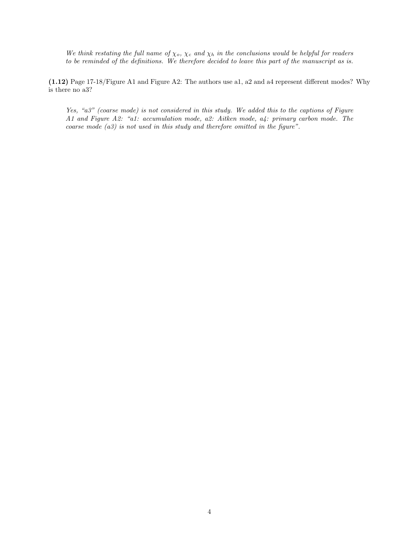We think restating the full name of  $\chi_o$ ,  $\chi_c$  and  $\chi_h$  in the conclusions would be helpful for readers to be reminded of the definitions. We therefore decided to leave this part of the manuscript as is.

(1.12) Page 17-18/Figure A1 and Figure A2: The authors use a1, a2 and a4 represent different modes? Why is there no a3?

Yes, "a3" (coarse mode) is not considered in this study. We added this to the captions of Figure A1 and Figure A2: "a1: accumulation mode, a2: Aitken mode, a4: primary carbon mode. The coarse mode (a3) is not used in this study and therefore omitted in the figure".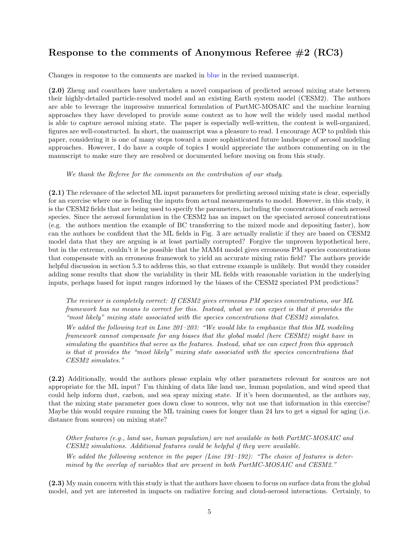## Response to the comments of Anonymous Referee #2 (RC3)

Changes in response to the comments are marked in blue in the revised manuscript.

(2.0) Zheng and coauthors have undertaken a novel comparison of predicted aerosol mixing state between their highly-detailed particle-resolved model and an existing Earth system model (CESM2). The authors are able to leverage the impressive numerical formulation of PartMC-MOSAIC and the machine learning approaches they have developed to provide some context as to how well the widely used modal method is able to capture aerosol mixing state. The paper is especially well-written, the content is well-organized, figures are well-constructed. In short, the manuscript was a pleasure to read. I encourage ACP to publish this paper, considering it is one of many steps toward a more sophisticated future landscape of aerosol modeling approaches. However, I do have a couple of topics I would appreciate the authors commenting on in the manuscript to make sure they are resolved or documented before moving on from this study.

We thank the Referee for the comments on the contribution of our study.

(2.1) The relevance of the selected ML input parameters for predicting aerosol mixing state is clear, especially for an exercise where one is feeding the inputs from actual measurements to model. However, in this study, it is the CESM2 fields that are being used to specify the parameters, including the concentrations of each aerosol species. Since the aerosol formulation in the CESM2 has an impact on the speciated aerosol concentrations (e.g. the authors mention the example of BC transferring to the mixed mode and depositing faster), how can the authors be confident that the ML fields in Fig. 3 are actually realistic if they are based on CESM2 model data that they are arguing is at least partially corrupted? Forgive the unproven hypothetical here, but in the extreme, couldn't it be possible that the MAM4 model gives erroneous PM species concentrations that compensate with an erroneous framework to yield an accurate mixing ratio field? The authors provide helpful discussion in section 5.3 to address this, so that extreme example is unlikely. But would they consider adding some results that show the variability in their ML fields with reasonable variation in the underlying inputs, perhaps based for input ranges informed by the biases of the CESM2 speciated PM predictions?

The reviewer is completely correct: If CESM2 gives erroneous PM species concentrations, our ML framework has no means to correct for this. Instead, what we can expect is that it provides the "most likely" mixing state associated with the species concentrations that CESM2 simulates.

We added the following text in Line 201–203: "We would like to emphasize that this ML modeling framework cannot compensate for any biases that the global model (here CESM2) might have in simulating the quantities that serve as the features. Instead, what we can expect from this approach is that it provides the "most likely" mixing state associated with the species concentrations that CESM2 simulates."

(2.2) Additionally, would the authors please explain why other parameters relevant for sources are not appropriate for the ML input? I'm thinking of data like land use, human population, and wind speed that could help inform dust, carbon, and sea spray mixing state. If it's been documented, as the authors say, that the mixing state parameter goes down close to sources, why not use that information in this exercise? Maybe this would require running the ML training cases for longer than 24 hrs to get a signal for aging (i.e. distance from sources) on mixing state?

Other features (e.g., land use, human population) are not available in both PartMC-MOSAIC and CESM2 simulations. Additional features could be helpful if they were available. We added the following sentence in the paper (Line  $191-192$ ): "The choice of features is determined by the overlap of variables that are present in both PartMC-MOSAIC and CESM2."

(2.3) My main concern with this study is that the authors have chosen to focus on surface data from the global model, and yet are interested in impacts on radiative forcing and cloud-aerosol interactions. Certainly, to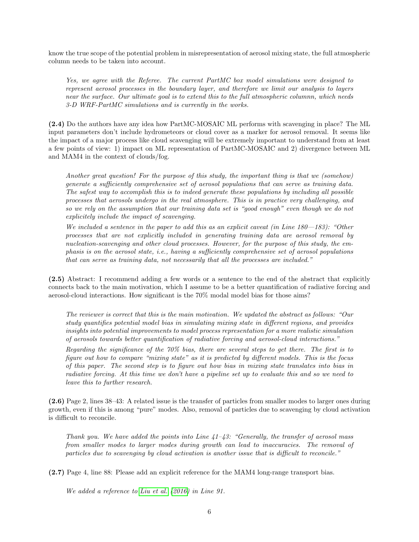know the true scope of the potential problem in misrepresentation of aerosol mixing state, the full atmospheric column needs to be taken into account.

Yes, we agree with the Referee. The current PartMC box model simulations were designed to represent aerosol processes in the boundary layer, and therefore we limit our analysis to layers near the surface. Our ultimate goal is to extend this to the full atmospheric columnn, which needs 3-D WRF-PartMC simulations and is currently in the works.

(2.4) Do the authors have any idea how PartMC-MOSAIC ML performs with scavenging in place? The ML input parameters don't include hydrometeors or cloud cover as a marker for aerosol removal. It seems like the impact of a major process like cloud scavenging will be extremely important to understand from at least a few points of view: 1) impact on ML representation of PartMC-MOSAIC and 2) divergence between ML and MAM4 in the context of clouds/fog.

Another great question! For the purpose of this study, the important thing is that we (somehow) generate a sufficiently comprehensive set of aerosol populations that can serve as training data. The safest way to accomplish this is to indeed generate these populations by including all possible processes that aerosols undergo in the real atmosphere. This is in practice very challenging, and so we rely on the assumption that our training data set is "good enough" even though we do not explicitely include the impact of scavenging.

We included a sentence in the paper to add this as an explicit caveat (in Line 180—183): "Other processes that are not explicitly included in generating training data are aerosol removal by nucleation-scavenging and other cloud processes. However, for the purpose of this study, the emphasis is on the aerosol state, i.e., having a sufficiently comprehensive set of aerosol populations that can serve as training data, not necessarily that all the processes are included."

(2.5) Abstract: I recommend adding a few words or a sentence to the end of the abstract that explicitly connects back to the main motivation, which I assume to be a better quantification of radiative forcing and aerosol-cloud interactions. How significant is the 70% modal model bias for those aims?

The reviewer is correct that this is the main motivation. We updated the abstract as follows: "Our study quantifies potential model bias in simulating mixing state in different regions, and provides insights into potential improvements to model process representation for a more realistic simulation of aerosols towards better quantification of radiative forcing and aerosol-cloud interactions."

Regarding the significance of the 70% bias, there are several steps to get there. The first is to figure out how to compare "mixing state" as it is predicted by different models. This is the focus of this paper. The second step is to figure out how bias in mixing state translates into bias in radiative forcing. At this time we don't have a pipeline set up to evaluate this and so we need to leave this to further research.

(2.6) Page 2, lines 38–43: A related issue is the transfer of particles from smaller modes to larger ones during growth, even if this is among "pure" modes. Also, removal of particles due to scavenging by cloud activation is difficult to reconcile.

Thank you. We have added the points into Line  $41-43$ : "Generally, the transfer of aerosol mass from smaller modes to larger modes during growth can lead to inaccuracies. The removal of particles due to scavenging by cloud activation is another issue that is difficult to reconcile."

(2.7) Page 4, line 88: Please add an explicit reference for the MAM4 long-range transport bias.

We added a reference to [Liu et al.](#page-9-5) [\(2016\)](#page-9-5) in Line 91.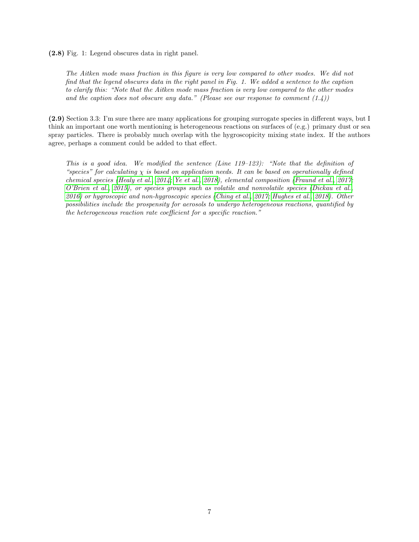(2.8) Fig. 1: Legend obscures data in right panel.

The Aitken mode mass fraction in this figure is very low compared to other modes. We did not find that the legend obscures data in the right panel in Fig. 1. We added a sentence to the caption to clarify this: "Note that the Aitken mode mass fraction is very low compared to the other modes and the caption does not obscure any data." (Please see our response to comment  $(1.4)$ )

(2.9) Section 3.3: I'm sure there are many applications for grouping surrogate species in different ways, but I think an important one worth mentioning is heterogeneous reactions on surfaces of (e.g.) primary dust or sea spray particles. There is probably much overlap with the hygroscopicity mixing state index. If the authors agree, perhaps a comment could be added to that effect.

This is a good idea. We modified the sentence (Line 119–123): "Note that the definition of "species" for calculating  $\chi$  is based on application needs. It can be based on operationally defined chemical species [\(Healy et al., 2014;](#page-9-6) [Ye et al., 2018\)](#page-9-7), elemental composition [\(Fraund et al., 2017;](#page-9-8) [O'Brien et al., 2015\)](#page-9-9), or species groups such as volatile and nonvolatile species [\(Dickau et al.,](#page-9-10) [2016\)](#page-9-10) or hygroscopic and non-hygroscopic species [\(Ching et al., 2017;](#page-9-11) [Hughes et al., 2018\)](#page-9-12). Other possibilities include the prospensity for aerosols to undergo heterogeneous reactions, quantified by the heterogeneous reaction rate coefficient for a specific reaction."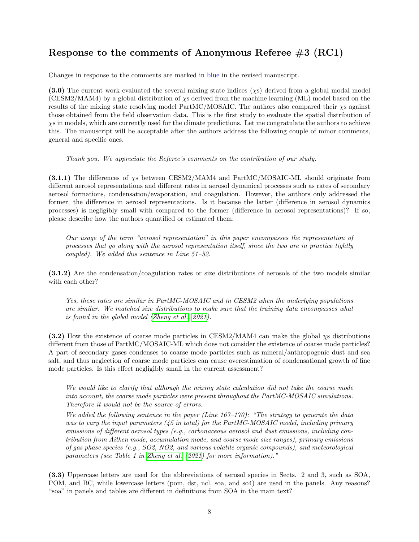## Response to the comments of Anonymous Referee #3 (RC1)

Changes in response to the comments are marked in blue in the revised manuscript.

(3.0) The current work evaluated the several mixing state indices  $(xs)$  derived from a global modal model (CESM2/MAM4) by a global distribution of χs derived from the machine learning (ML) model based on the results of the mixing state resolving model PartMC/MOSAIC. The authors also compared their χs against those obtained from the field observation data. This is the first study to evaluate the spatial distribution of χs in models, which are currently used for the climate predictions. Let me congratulate the authors to achieve this. The manuscript will be acceptable after the authors address the following couple of minor comments, general and specific ones.

Thank you. We appreciate the Referee's comments on the contribution of our study.

(3.1.1) The differences of χs between CESM2/MAM4 and PartMC/MOSAIC-ML should originate from different aerosol representations and different rates in aerosol dynamical processes such as rates of secondary aerosol formations, condensation/evaporation, and coagulation. However, the authors only addressed the former, the difference in aerosol representations. Is it because the latter (difference in aerosol dynamics processes) is negligibly small with compared to the former (difference in aerosol representations)? If so, please describe how the authors quantified or estimated them.

Our usage of the term "aerosol representation" in this paper encompasses the representation of processes that go along with the aerosol representation itself, since the two are in practice tightly coupled). We added this sentence in Line 51–52.

(3.1.2) Are the condensation/coagulation rates or size distributions of aerosols of the two models similar with each other?

Yes, these rates are similar in PartMC-MOSAIC and in CESM2 when the underlying populations are similar. We matched size distributions to make sure that the training data encompasses what is found in the global model [\(Zheng et al., 2021\)](#page-9-0).

 $(3.2)$  How the existence of coarse mode particles in CESM2/MAM4 can make the global  $\chi$ s distributions different from those of PartMC/MOSAIC-ML which does not consider the existence of coarse mode particles? A part of secondary gases condenses to coarse mode particles such as mineral/anthropogenic dust and sea salt, and thus neglection of coarse mode particles can cause overestimation of condensational growth of fine mode particles. Is this effect negligibly small in the current assessment?

We would like to clarify that although the mixing state calculation did not take the coarse mode into account, the coarse mode particles were present throughout the PartMC-MOSAIC simulations. Therefore it would not be the source of errors.

We added the following sentence in the paper (Line  $167-170$ ): "The strategy to generate the data was to vary the input parameters (45 in total) for the PartMC-MOSAIC model, including primary emissions of different aerosol types (e.g., carbonaceous aerosol and dust emissions, including contribution from Aitken mode, accumulation mode, and coarse mode size ranges), primary emissions of gas phase species (e.g., SO2, NO2, and various volatile organic compounds), and meteorological parameters (see Table 1 in [Zheng et al.](#page-9-0) [\(2021\)](#page-9-0) for more information)."

(3.3) Uppercase letters are used for the abbreviations of aerosol species in Sects. 2 and 3, such as SOA, POM, and BC, while lowercase letters (pom, dst, ncl, soa, and so4) are used in the panels. Any reasons? "soa" in panels and tables are different in definitions from SOA in the main text?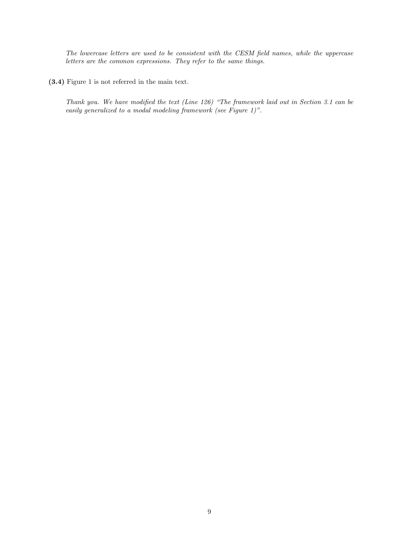The lowercase letters are used to be consistent with the CESM field names, while the uppercase letters are the common expressions. They refer to the same things.

(3.4) Figure 1 is not referred in the main text.

Thank you. We have modified the text (Line 126) "The framework laid out in Section 3.1 can be easily generalized to a modal modeling framework (see Figure 1)".